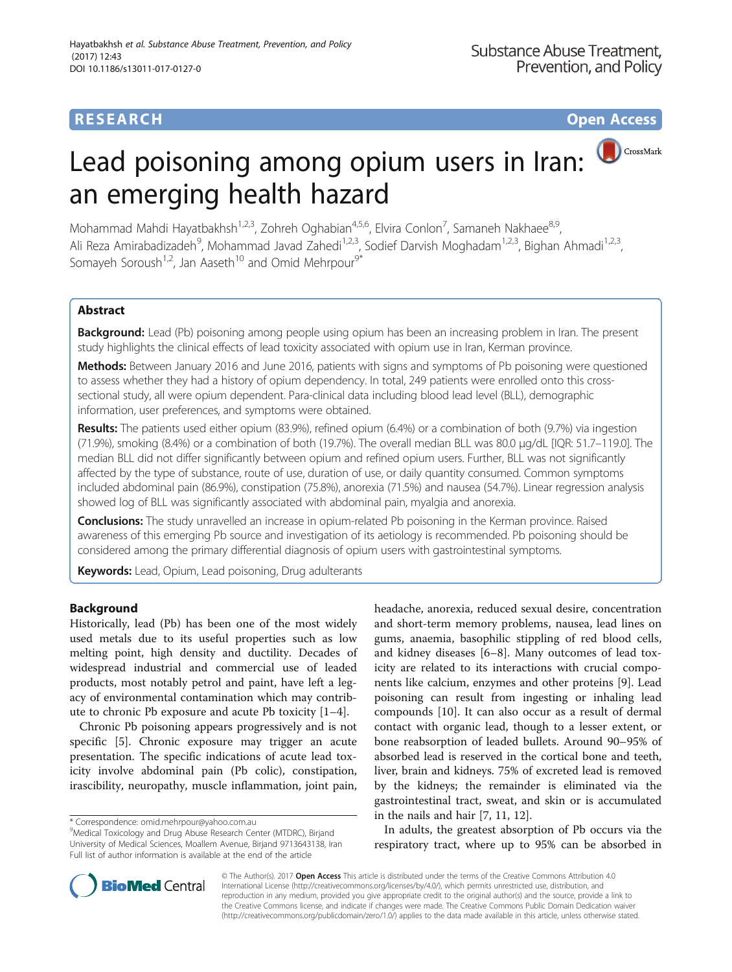## **RESEARCH CHE Open Access**

# CrossMark Lead poisoning among opium users in Iran: an emerging health hazard

Mohammad Mahdi Hayatbakhsh<sup>1,2,3</sup>, Zohreh Oghabian<sup>4,5,6</sup>, Elvira Conlon<sup>7</sup>, Samaneh Nakhaee<sup>8,9</sup>, Ali Reza Amirabadizadeh<sup>9</sup>, Mohammad Javad Zahedi<sup>1,2,3</sup>, Sodief Darvish Moghadam<sup>1,2,3</sup>, Bighan Ahmadi<sup>1,2,3</sup>, Somayeh Soroush<sup>1,2</sup>, Jan Aaseth<sup>10</sup> and Omid Mehrpour<sup>9\*</sup>

## Abstract

**Background:** Lead (Pb) poisoning among people using opium has been an increasing problem in Iran. The present study highlights the clinical effects of lead toxicity associated with opium use in Iran, Kerman province.

Methods: Between January 2016 and June 2016, patients with signs and symptoms of Pb poisoning were questioned to assess whether they had a history of opium dependency. In total, 249 patients were enrolled onto this crosssectional study, all were opium dependent. Para-clinical data including blood lead level (BLL), demographic information, user preferences, and symptoms were obtained.

Results: The patients used either opium (83.9%), refined opium (6.4%) or a combination of both (9.7%) via ingestion (71.9%), smoking (8.4%) or a combination of both (19.7%). The overall median BLL was 80.0 μg/dL [IQR: 51.7–119.0]. The median BLL did not differ significantly between opium and refined opium users. Further, BLL was not significantly affected by the type of substance, route of use, duration of use, or daily quantity consumed. Common symptoms included abdominal pain (86.9%), constipation (75.8%), anorexia (71.5%) and nausea (54.7%). Linear regression analysis showed log of BLL was significantly associated with abdominal pain, myalgia and anorexia.

**Conclusions:** The study unravelled an increase in opium-related Pb poisoning in the Kerman province. Raised awareness of this emerging Pb source and investigation of its aetiology is recommended. Pb poisoning should be considered among the primary differential diagnosis of opium users with gastrointestinal symptoms.

Keywords: Lead, Opium, Lead poisoning, Drug adulterants

## Background

Historically, lead (Pb) has been one of the most widely used metals due to its useful properties such as low melting point, high density and ductility. Decades of widespread industrial and commercial use of leaded products, most notably petrol and paint, have left a legacy of environmental contamination which may contribute to chronic Pb exposure and acute Pb toxicity [\[1](#page-6-0)–[4\]](#page-6-0).

Chronic Pb poisoning appears progressively and is not specific [[5](#page-6-0)]. Chronic exposure may trigger an acute presentation. The specific indications of acute lead toxicity involve abdominal pain (Pb colic), constipation, irascibility, neuropathy, muscle inflammation, joint pain,

headache, anorexia, reduced sexual desire, concentration and short-term memory problems, nausea, lead lines on gums, anaemia, basophilic stippling of red blood cells, and kidney diseases [[6](#page-6-0)–[8\]](#page-6-0). Many outcomes of lead toxicity are related to its interactions with crucial components like calcium, enzymes and other proteins [[9\]](#page-6-0). Lead poisoning can result from ingesting or inhaling lead compounds [\[10](#page-6-0)]. It can also occur as a result of dermal contact with organic lead, though to a lesser extent, or bone reabsorption of leaded bullets. Around 90–95% of absorbed lead is reserved in the cortical bone and teeth, liver, brain and kidneys. 75% of excreted lead is removed by the kidneys; the remainder is eliminated via the gastrointestinal tract, sweat, and skin or is accumulated in the nails and hair [\[7](#page-6-0), [11, 12\]](#page-6-0).

In adults, the greatest absorption of Pb occurs via the respiratory tract, where up to 95% can be absorbed in



© The Author(s). 2017 **Open Access** This article is distributed under the terms of the Creative Commons Attribution 4.0 International License [\(http://creativecommons.org/licenses/by/4.0/](http://creativecommons.org/licenses/by/4.0/)), which permits unrestricted use, distribution, and reproduction in any medium, provided you give appropriate credit to the original author(s) and the source, provide a link to the Creative Commons license, and indicate if changes were made. The Creative Commons Public Domain Dedication waiver [\(http://creativecommons.org/publicdomain/zero/1.0/](http://creativecommons.org/publicdomain/zero/1.0/)) applies to the data made available in this article, unless otherwise stated.

<sup>\*</sup> Correspondence: [omid.mehrpour@yahoo.com.au](mailto:omid.mehrpour@yahoo.com.au) <sup>9</sup>

Medical Toxicology and Drug Abuse Research Center (MTDRC), Birjand University of Medical Sciences, Moallem Avenue, Birjand 9713643138, Iran Full list of author information is available at the end of the article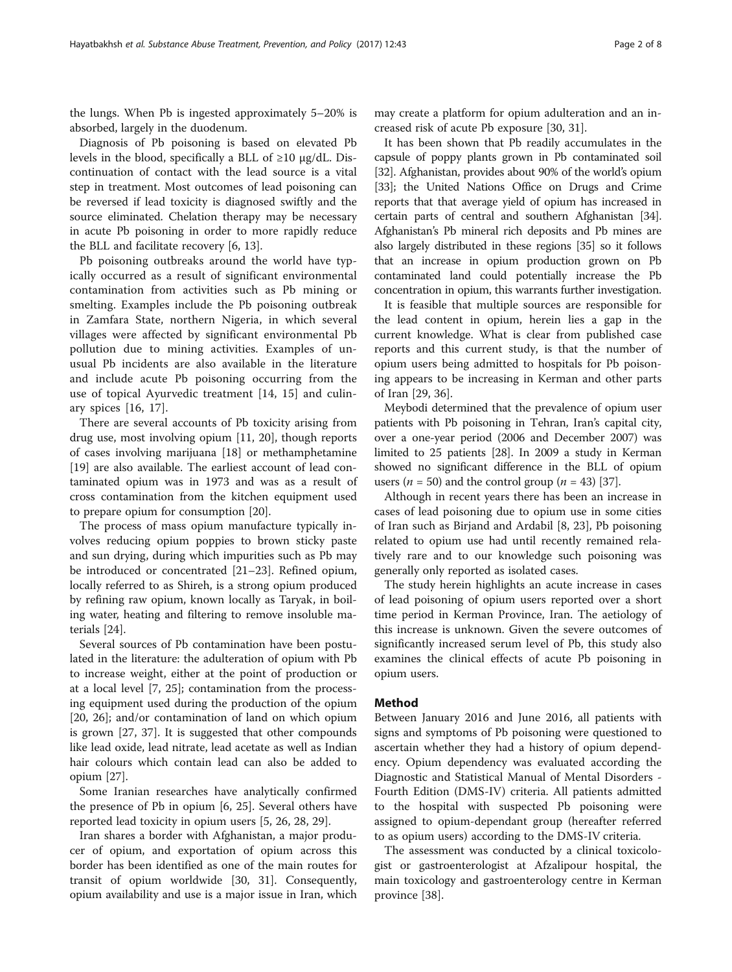the lungs. When Pb is ingested approximately 5–20% is absorbed, largely in the duodenum.

Diagnosis of Pb poisoning is based on elevated Pb levels in the blood, specifically a BLL of  $\geq 10 \mu g/dL$ . Discontinuation of contact with the lead source is a vital step in treatment. Most outcomes of lead poisoning can be reversed if lead toxicity is diagnosed swiftly and the source eliminated. Chelation therapy may be necessary in acute Pb poisoning in order to more rapidly reduce the BLL and facilitate recovery [[6, 13\]](#page-6-0).

Pb poisoning outbreaks around the world have typically occurred as a result of significant environmental contamination from activities such as Pb mining or smelting. Examples include the Pb poisoning outbreak in Zamfara State, northern Nigeria, in which several villages were affected by significant environmental Pb pollution due to mining activities. Examples of unusual Pb incidents are also available in the literature and include acute Pb poisoning occurring from the use of topical Ayurvedic treatment [\[14](#page-6-0), [15\]](#page-6-0) and culinary spices [\[16](#page-6-0), [17](#page-6-0)].

There are several accounts of Pb toxicity arising from drug use, most involving opium [\[11](#page-6-0), [20](#page-6-0)], though reports of cases involving marijuana [[18](#page-6-0)] or methamphetamine [[19\]](#page-6-0) are also available. The earliest account of lead contaminated opium was in 1973 and was as a result of cross contamination from the kitchen equipment used to prepare opium for consumption [[20](#page-6-0)].

The process of mass opium manufacture typically involves reducing opium poppies to brown sticky paste and sun drying, during which impurities such as Pb may be introduced or concentrated [\[21](#page-6-0)–[23\]](#page-6-0). Refined opium, locally referred to as Shireh, is a strong opium produced by refining raw opium, known locally as Taryak, in boiling water, heating and filtering to remove insoluble materials [\[24](#page-6-0)].

Several sources of Pb contamination have been postulated in the literature: the adulteration of opium with Pb to increase weight, either at the point of production or at a local level [[7, 25\]](#page-6-0); contamination from the processing equipment used during the production of the opium [[20, 26](#page-6-0)]; and/or contamination of land on which opium is grown [\[27](#page-6-0), [37\]](#page-7-0). It is suggested that other compounds like lead oxide, lead nitrate, lead acetate as well as Indian hair colours which contain lead can also be added to opium [\[27\]](#page-6-0).

Some Iranian researches have analytically confirmed the presence of Pb in opium [[6, 25](#page-6-0)]. Several others have reported lead toxicity in opium users [\[5](#page-6-0), [26](#page-6-0), [28](#page-6-0), [29](#page-6-0)].

Iran shares a border with Afghanistan, a major producer of opium, and exportation of opium across this border has been identified as one of the main routes for transit of opium worldwide [\[30](#page-6-0), [31](#page-6-0)]. Consequently, opium availability and use is a major issue in Iran, which

may create a platform for opium adulteration and an increased risk of acute Pb exposure [[30, 31\]](#page-6-0).

It has been shown that Pb readily accumulates in the capsule of poppy plants grown in Pb contaminated soil [[32](#page-6-0)]. Afghanistan, provides about 90% of the world's opium [[33](#page-6-0)]; the United Nations Office on Drugs and Crime reports that that average yield of opium has increased in certain parts of central and southern Afghanistan [\[34](#page-7-0)]. Afghanistan's Pb mineral rich deposits and Pb mines are also largely distributed in these regions [\[35](#page-7-0)] so it follows that an increase in opium production grown on Pb contaminated land could potentially increase the Pb concentration in opium, this warrants further investigation.

It is feasible that multiple sources are responsible for the lead content in opium, herein lies a gap in the current knowledge. What is clear from published case reports and this current study, is that the number of opium users being admitted to hospitals for Pb poisoning appears to be increasing in Kerman and other parts of Iran [[29](#page-6-0), [36](#page-7-0)].

Meybodi determined that the prevalence of opium user patients with Pb poisoning in Tehran, Iran's capital city, over a one-year period (2006 and December 2007) was limited to 25 patients [\[28\]](#page-6-0). In 2009 a study in Kerman showed no significant difference in the BLL of opium users ( $n = 50$ ) and the control group ( $n = 43$ ) [[37](#page-7-0)].

Although in recent years there has been an increase in cases of lead poisoning due to opium use in some cities of Iran such as Birjand and Ardabil [[8](#page-6-0), [23\]](#page-6-0), Pb poisoning related to opium use had until recently remained relatively rare and to our knowledge such poisoning was generally only reported as isolated cases.

The study herein highlights an acute increase in cases of lead poisoning of opium users reported over a short time period in Kerman Province, Iran. The aetiology of this increase is unknown. Given the severe outcomes of significantly increased serum level of Pb, this study also examines the clinical effects of acute Pb poisoning in opium users.

### Method

Between January 2016 and June 2016, all patients with signs and symptoms of Pb poisoning were questioned to ascertain whether they had a history of opium dependency. Opium dependency was evaluated according the Diagnostic and Statistical Manual of Mental Disorders - Fourth Edition (DMS-IV) criteria. All patients admitted to the hospital with suspected Pb poisoning were assigned to opium-dependant group (hereafter referred to as opium users) according to the DMS-IV criteria.

The assessment was conducted by a clinical toxicologist or gastroenterologist at Afzalipour hospital, the main toxicology and gastroenterology centre in Kerman province [\[38\]](#page-7-0).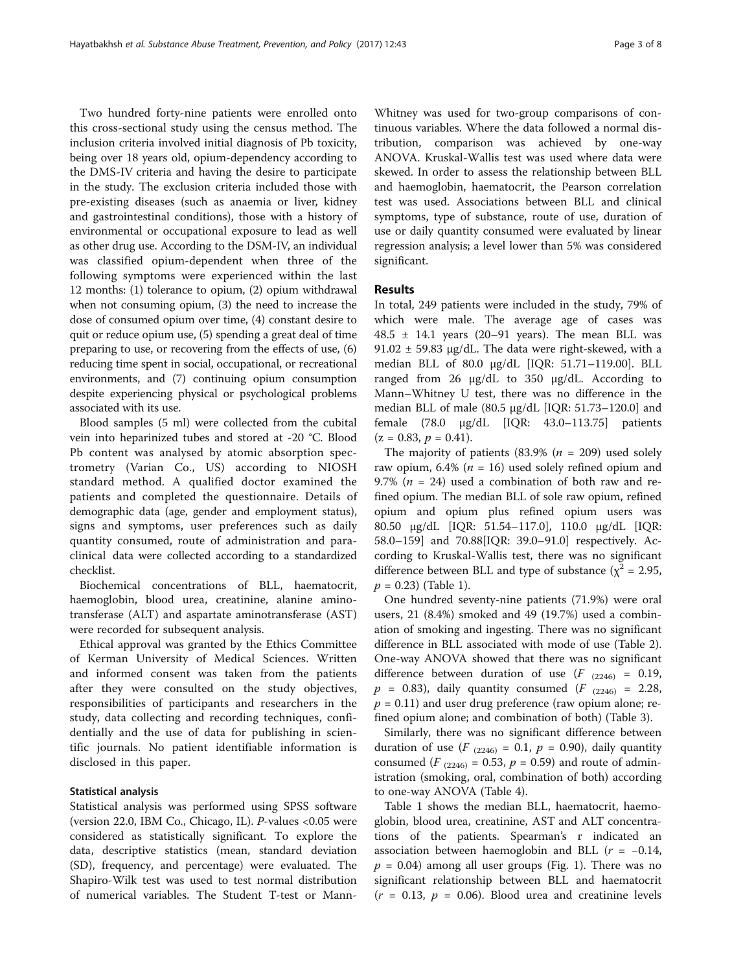Two hundred forty-nine patients were enrolled onto this cross-sectional study using the census method. The inclusion criteria involved initial diagnosis of Pb toxicity, being over 18 years old, opium-dependency according to the DMS-IV criteria and having the desire to participate in the study. The exclusion criteria included those with pre-existing diseases (such as anaemia or liver, kidney and gastrointestinal conditions), those with a history of environmental or occupational exposure to lead as well as other drug use. According to the DSM-IV, an individual was classified opium-dependent when three of the following symptoms were experienced within the last 12 months: (1) tolerance to opium, (2) opium withdrawal when not consuming opium, (3) the need to increase the dose of consumed opium over time, (4) constant desire to quit or reduce opium use, (5) spending a great deal of time preparing to use, or recovering from the effects of use, (6) reducing time spent in social, occupational, or recreational environments, and (7) continuing opium consumption despite experiencing physical or psychological problems associated with its use.

Blood samples (5 ml) were collected from the cubital vein into heparinized tubes and stored at -20 °C. Blood Pb content was analysed by atomic absorption spectrometry (Varian Co., US) according to NIOSH standard method. A qualified doctor examined the patients and completed the questionnaire. Details of demographic data (age, gender and employment status), signs and symptoms, user preferences such as daily quantity consumed, route of administration and paraclinical data were collected according to a standardized checklist.

Biochemical concentrations of BLL, haematocrit, haemoglobin, blood urea, creatinine, alanine aminotransferase (ALT) and aspartate aminotransferase (AST) were recorded for subsequent analysis.

Ethical approval was granted by the Ethics Committee of Kerman University of Medical Sciences. Written and informed consent was taken from the patients after they were consulted on the study objectives, responsibilities of participants and researchers in the study, data collecting and recording techniques, confidentially and the use of data for publishing in scientific journals. No patient identifiable information is disclosed in this paper.

## Statistical analysis

Statistical analysis was performed using SPSS software (version 22.0, IBM Co., Chicago, IL). P-values <0.05 were considered as statistically significant. To explore the data, descriptive statistics (mean, standard deviation (SD), frequency, and percentage) were evaluated. The Shapiro-Wilk test was used to test normal distribution of numerical variables. The Student T-test or MannWhitney was used for two-group comparisons of continuous variables. Where the data followed a normal distribution, comparison was achieved by one-way ANOVA. Kruskal-Wallis test was used where data were skewed. In order to assess the relationship between BLL and haemoglobin, haematocrit, the Pearson correlation test was used. Associations between BLL and clinical symptoms, type of substance, route of use, duration of use or daily quantity consumed were evaluated by linear regression analysis; a level lower than 5% was considered significant.

#### Results

In total, 249 patients were included in the study, 79% of which were male. The average age of cases was 48.5  $\pm$  14.1 years (20-91 years). The mean BLL was 91.02  $\pm$  59.83  $\mu$ g/dL. The data were right-skewed, with a median BLL of 80.0 μg/dL [IQR: 51.71–119.00]. BLL ranged from 26 μg/dL to 350 μg/dL. According to Mann–[Whitney U test](https://www.google.com/url?sa=t&rct=j&q=&esrc=s&source=web&cd=1&cad=rja&uact=8&ved=0ahUKEwjwoJOT04rWAhVDa1AKHW4xDb8QFgglMAA&url=https%3A%2F%2Fen.wikipedia.org%2Fwiki%2FMann%25E2%2580%2593Whitney_U_test&usg=AFQjCNGjoyDjcWPrN4awSEH4SDFBAptUOw), there was no difference in the median BLL of male (80.5 μg/dL [IQR: 51.73–120.0] and female (78.0 μg/dL [IQR: 43.0–113.75] patients  $(z = 0.83, p = 0.41).$ 

The majority of patients (83.9% ( $n = 209$ ) used solely raw opium, 6.4% ( $n = 16$ ) used solely refined opium and 9.7% ( $n = 24$ ) used a combination of both raw and refined opium. The median BLL of sole raw opium, refined opium and opium plus refined opium users was 80.50 μg/dL [IQR: 51.54–117.0], 110.0 μg/dL [IQR: 58.0–159] and 70.88[IQR: 39.0–91.0] respectively. According to Kruskal-Wallis test, there was no significant difference between BLL and type of substance ( $\chi^2$  = 2.95,  $p = 0.23$ ) (Table [1\)](#page-3-0).

One hundred seventy-nine patients (71.9%) were oral users, 21 (8.4%) smoked and 49 (19.7%) used a combination of smoking and ingesting. There was no significant difference in BLL associated with mode of use (Table [2](#page-3-0)). One-way ANOVA showed that there was no significant difference between duration of use  $(F_{(2246)} = 0.19,$  $p = 0.83$ ), daily quantity consumed ( $F_{(2246)} = 2.28$ ,  $p = 0.11$ ) and user drug preference (raw opium alone; refined opium alone; and combination of both) (Table [3](#page-4-0)).

Similarly, there was no significant difference between duration of use  $(F_{(2246)} = 0.1, p = 0.90)$ , daily quantity consumed ( $F_{(2246)} = 0.53$ ,  $p = 0.59$ ) and route of administration (smoking, oral, combination of both) according to one-way ANOVA (Table [4](#page-4-0)).

Table [1](#page-3-0) shows the median BLL, haematocrit, haemoglobin, blood urea, creatinine, AST and ALT concentrations of the patients. Spearman's r indicated an association between haemoglobin and BLL  $(r = -0.14,$  $p = 0.04$ ) among all user groups (Fig. [1\)](#page-4-0). There was no significant relationship between BLL and haematocrit  $(r = 0.13, p = 0.06)$ . Blood urea and creatinine levels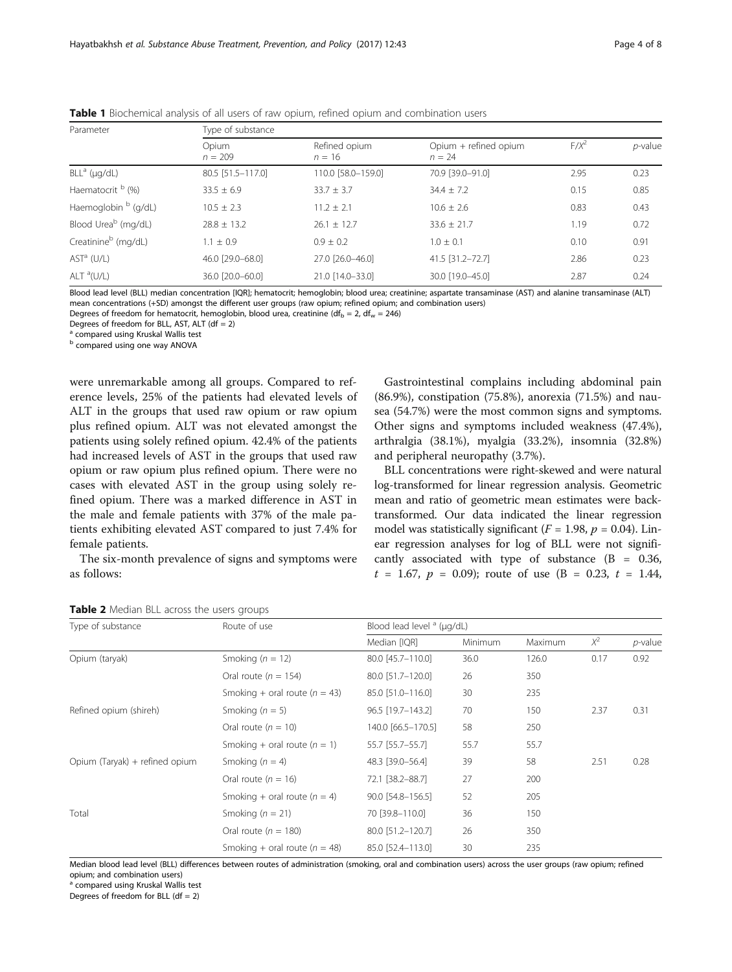| Parameter                       | Type of substance  |                           |                                   |         |            |  |  |
|---------------------------------|--------------------|---------------------------|-----------------------------------|---------|------------|--|--|
|                                 | Opium<br>$n = 209$ | Refined opium<br>$n = 16$ | Opium + refined opium<br>$n = 24$ | $F/X^2$ | $p$ -value |  |  |
| $BLLa$ (µg/dL)                  | 80.5 [51.5-117.0]  | 110.0 [58.0-159.0]        | 70.9 [39.0-91.0]                  | 2.95    | 0.23       |  |  |
| Haematocrit <sup>b</sup> (%)    | $33.5 \pm 6.9$     | $33.7 \pm 3.7$            | $34.4 \pm 7.2$                    | 0.15    | 0.85       |  |  |
| Haemoglobin <sup>b</sup> (g/dL) | $10.5 + 2.3$       | $11.2 \pm 2.1$            | $10.6 + 2.6$                      | 0.83    | 0.43       |  |  |
| Blood Urea <sup>b</sup> (mg/dL) | $28.8 \pm 13.2$    | $26.1 \pm 12.7$           | $33.6 \pm 21.7$                   | 1.19    | 0.72       |  |  |
| Creatinine <sup>b</sup> (mg/dL) | $1.1 \pm 0.9$      | $0.9 + 0.2$               | $1.0 + 0.1$                       | 0.10    | 0.91       |  |  |
| AST <sup>a</sup> (U/L)          | 46.0 [29.0-68.0]   | 27.0 [26.0-46.0]          | 41.5 [31.2-72.7]                  | 2.86    | 0.23       |  |  |
| $ALT^a(U/L)$                    | 36.0 [20.0-60.0]   | 21.0 [14.0-33.0]          | 30.0 [19.0-45.0]                  | 2.87    | 0.24       |  |  |

<span id="page-3-0"></span>**Table 1** Biochemical analysis of all users of raw opium, refined opium and combination users

Blood lead level (BLL) median concentration [IQR]; hematocrit; hemoglobin; blood urea; creatinine; aspartate transaminase (AST) and alanine transaminase (ALT) mean concentrations (+SD) amongst the different user groups (raw opium; refined opium; and combination users)

Degrees of freedom for hematocrit, hemoglobin, blood urea, creatinine (df<sub>b</sub> = 2, df<sub>w</sub> = 246)

Degrees of freedom for BLL, AST, ALT ( $df = 2$ ) a compared using Kruskal Wallis test

**b** compared using one way ANOVA

were unremarkable among all groups. Compared to reference levels, 25% of the patients had elevated levels of ALT in the groups that used raw opium or raw opium plus refined opium. ALT was not elevated amongst the patients using solely refined opium. 42.4% of the patients had increased levels of AST in the groups that used raw opium or raw opium plus refined opium. There were no cases with elevated AST in the group using solely refined opium. There was a marked difference in AST in the male and female patients with 37% of the male patients exhibiting elevated AST compared to just 7.4% for female patients.

The six-month prevalence of signs and symptoms were as follows:

Gastrointestinal complains including abdominal pain (86.9%), constipation (75.8%), anorexia (71.5%) and nausea (54.7%) were the most common signs and symptoms. Other signs and symptoms included weakness (47.4%), arthralgia (38.1%), myalgia (33.2%), insomnia (32.8%) and peripheral neuropathy (3.7%).

BLL concentrations were right-skewed and were natural log-transformed for linear regression analysis. Geometric mean and ratio of geometric mean estimates were backtransformed. Our data indicated the linear regression model was statistically significant ( $F = 1.98$ ,  $p = 0.04$ ). Linear regression analyses for log of BLL were not significantly associated with type of substance  $(B = 0.36,$  $t = 1.67$ ,  $p = 0.09$ ; route of use (B = 0.23,  $t = 1.44$ ,

| Type of substance              | Route of use                      | Blood lead level $a$ ( $\mu$ g/dL) |                |         |       |            |
|--------------------------------|-----------------------------------|------------------------------------|----------------|---------|-------|------------|
|                                |                                   | Median [IQR]                       | <b>Minimum</b> | Maximum | $X^2$ | $p$ -value |
| Opium (taryak)                 | Smoking ( $n = 12$ )              | 80.0 [45.7-110.0]                  | 36.0           | 126.0   | 0.17  | 0.92       |
|                                | Oral route ( $n = 154$ )          | 80.0 [51.7-120.0]                  | 26             | 350     |       |            |
|                                | Smoking + oral route ( $n = 43$ ) | 85.0 [51.0-116.0]                  | 30             | 235     |       |            |
| Refined opium (shireh)         | Smoking $(n = 5)$                 | 96.5 [19.7-143.2]                  | 70             | 150     | 2.37  | 0.31       |
|                                | Oral route $(n = 10)$             | 140.0 [66.5-170.5]                 | 58             | 250     |       |            |
|                                | Smoking + oral route $(n = 1)$    | 55.7 [55.7-55.7]                   | 55.7           | 55.7    |       |            |
| Opium (Taryak) + refined opium | Smoking $(n = 4)$                 | 48.3 [39.0-56.4]                   | 39             | 58      | 2.51  | 0.28       |
|                                | Oral route ( $n = 16$ )           | 72.1 [38.2-88.7]                   | 27             | 200     |       |            |
|                                | Smoking + oral route $(n = 4)$    | 90.0 [54.8-156.5]                  | 52             | 205     |       |            |
| Total                          | Smoking ( $n = 21$ )              | 70 [39.8-110.0]                    | 36             | 150     |       |            |
|                                | Oral route ( $n = 180$ )          | 80.0 [51.2-120.7]                  | 26             | 350     |       |            |
|                                | Smoking + oral route ( $n = 48$ ) | 85.0 [52.4-113.0]                  | 30             | 235     |       |            |

Table 2 Median BLL across the users groups

Median blood lead level (BLL) differences between routes of administration (smoking, oral and combination users) across the user groups (raw opium; refined opium; and combination users)

<sup>a</sup> compared using Kruskal Wallis test

Degrees of freedom for BLL (df =  $2$ )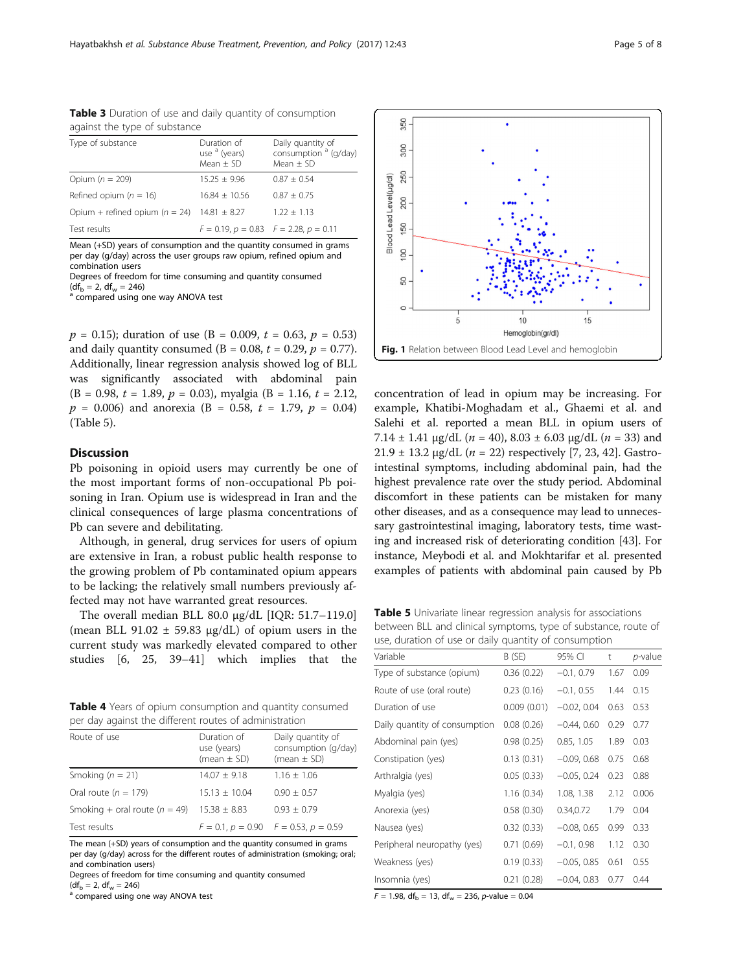| Type of substance                  | Duration of<br>use <sup>a</sup> (years)<br>$Mean + SD$ | Daily quantity of<br>consumption <sup>a</sup> (g/day)<br>Mean $\pm$ SD |
|------------------------------------|--------------------------------------------------------|------------------------------------------------------------------------|
| Opium $(n = 209)$                  | $15.25 + 9.96$                                         | $0.87 + 0.54$                                                          |
| Refined opium ( $n = 16$ )         | $16.84 + 10.56$                                        | $0.87 + 0.75$                                                          |
| Opium + refined opium ( $n = 24$ ) | $14.81 \pm 8.27$                                       | $1.22 + 1.13$                                                          |
| Test results                       | $F = 0.19$ , $p = 0.83$ $F = 2.28$ , $p = 0.11$        |                                                                        |

<span id="page-4-0"></span>Table 3 Duration of use and daily quantity of consumption against the type of substance

Mean (+SD) years of consumption and the quantity consumed in grams per day (g/day) across the user groups raw opium, refined opium and combination users

Degrees of freedom for time consuming and quantity consumed

 $(df<sub>b</sub> = 2, df<sub>w</sub> = 246)$ <sup>a</sup> compared using one way ANOVA test

 $p = 0.15$ ; duration of use (B = 0.009, t = 0.63, p = 0.53) and daily quantity consumed ( $B = 0.08$ ,  $t = 0.29$ ,  $p = 0.77$ ). Additionally, linear regression analysis showed log of BLL was significantly associated with abdominal pain  $(B = 0.98, t = 1.89, p = 0.03)$ , myalgia  $(B = 1.16, t = 2.12,$  $p = 0.006$ ) and anorexia (B = 0.58, t = 1.79,  $p = 0.04$ ) (Table 5).

## **Discussion**

Pb poisoning in opioid users may currently be one of the most important forms of non-occupational Pb poisoning in Iran. Opium use is widespread in Iran and the clinical consequences of large plasma concentrations of Pb can severe and debilitating.

Although, in general, drug services for users of opium are extensive in Iran, a robust public health response to the growing problem of Pb contaminated opium appears to be lacking; the relatively small numbers previously affected may not have warranted great resources.

The overall median BLL 80.0 μg/dL [IQR: 51.7–119.0] (mean BLL 91.02  $\pm$  59.83  $\mu$ g/dL) of opium users in the current study was markedly elevated compared to other studies [\[6](#page-6-0), [25,](#page-6-0) [39](#page-7-0)–[41\]](#page-7-0) which implies that the

Table 4 Years of opium consumption and quantity consumed per day against the different routes of administration

| Route of use                                     | Duration of<br>use (years)<br>(mean $\pm$ SD) | Daily quantity of<br>consumption (g/day)<br>(mean $\pm$ SD) |
|--------------------------------------------------|-----------------------------------------------|-------------------------------------------------------------|
| Smoking $(n = 21)$                               | $14.07 \pm 9.18$                              | $1.16 \pm 1.06$                                             |
| Oral route $(n = 179)$                           | $15.13 + 10.04$                               | $0.90 \pm 0.57$                                             |
| Smoking + oral route $(n = 49)$ 15.38 $\pm$ 8.83 |                                               | $0.93 \pm 0.79$                                             |
| Test results                                     |                                               | $F = 0.1$ , $p = 0.90$ $F = 0.53$ , $p = 0.59$              |

The mean (+SD) years of consumption and the quantity consumed in grams per day (g/day) across for the different routes of administration (smoking; oral; and combination users)

Degrees of freedom for time consuming and quantity consumed  $(df_b = 2, df_w = 246)$ 

<sup>a</sup> compared using one way ANOVA test



concentration of lead in opium may be increasing. For example, Khatibi-Moghadam et al., Ghaemi et al. and Salehi et al. reported a mean BLL in opium users of 7.14  $\pm$  1.41 μg/dL (*n* = 40), 8.03  $\pm$  6.03 μg/dL (*n* = 33) and 21.9  $\pm$  13.2 μg/dL (*n* = 22) respectively [\[7](#page-6-0), [23,](#page-6-0) [42](#page-7-0)]. Gastrointestinal symptoms, including abdominal pain, had the highest prevalence rate over the study period. Abdominal discomfort in these patients can be mistaken for many other diseases, and as a consequence may lead to unnecessary gastrointestinal imaging, laboratory tests, time wasting and increased risk of deteriorating condition [[43](#page-7-0)]. For instance, Meybodi et al. and Mokhtarifar et al. presented examples of patients with abdominal pain caused by Pb

Table 5 Univariate linear regression analysis for associations between BLL and clinical symptoms, type of substance, route of use, duration of use or daily quantity of consumption

| Variable                      | B (SE)      | 95% CI        | t    | p-value |
|-------------------------------|-------------|---------------|------|---------|
| Type of substance (opium)     | 0.36(0.22)  | $-0.1, 0.79$  | 1.67 | 0.09    |
| Route of use (oral route)     | 0.23(0.16)  | $-0.1, 0.55$  | 1.44 | 0.15    |
| Duration of use               | 0.009(0.01) | $-0.02, 0.04$ | 0.63 | 0.53    |
| Daily quantity of consumption | 0.08(0.26)  | $-0.44, 0.60$ | 0.29 | 0.77    |
| Abdominal pain (yes)          | 0.98(0.25)  | 0.85, 1.05    | 1.89 | 0.03    |
| Constipation (yes)            | 0.13(0.31)  | $-0.09, 0.68$ | 0.75 | 0.68    |
| Arthralgia (yes)              | 0.05(0.33)  | $-0.05, 0.24$ | 0.23 | 0.88    |
| Myalgia (yes)                 | 1.16(0.34)  | 1.08, 1.38    | 2.12 | 0.006   |
| Anorexia (yes)                | 0.58(0.30)  | 0.34,0.72     | 1.79 | 0.04    |
| Nausea (yes)                  | 0.32(0.33)  | $-0.08, 0.65$ | 0.99 | 0.33    |
| Peripheral neuropathy (yes)   | 0.71(0.69)  | $-0.1, 0.98$  | 1.12 | 0.30    |
| Weakness (yes)                | 0.19(0.33)  | $-0.05, 0.85$ | 0.61 | 0.55    |
| Insomnia (yes)                | 0.21(0.28)  | $-0.04, 0.83$ | 0.77 | 0.44    |

 $F = 1.98$ , df<sub>b</sub> = 13, df<sub>w</sub> = 236, p-value = 0.04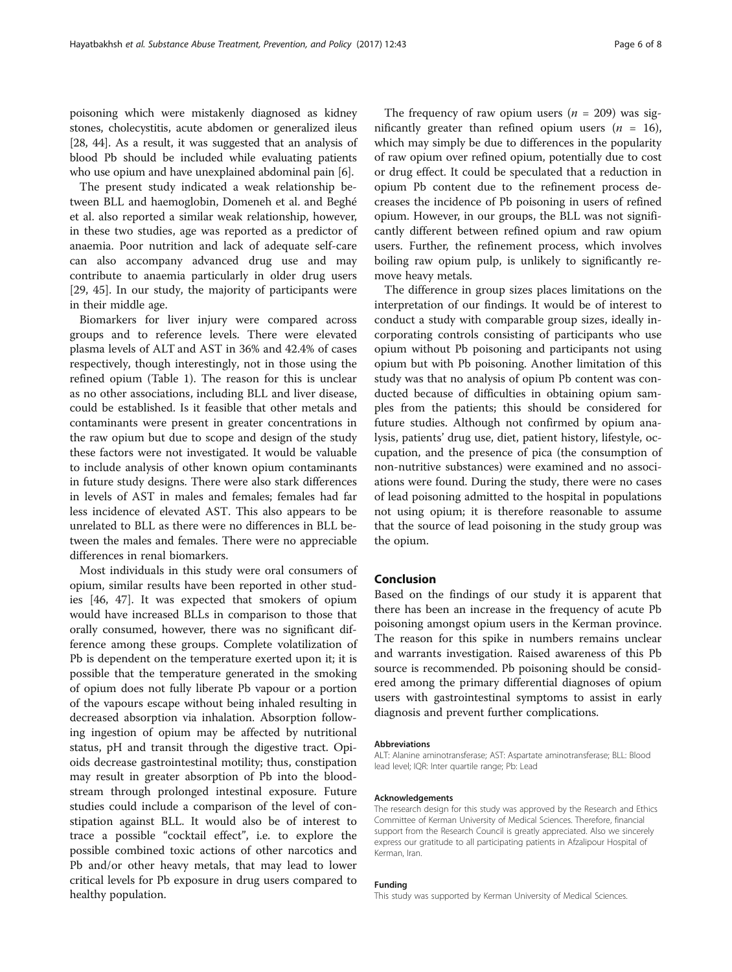poisoning which were mistakenly diagnosed as kidney stones, cholecystitis, acute abdomen or generalized ileus [[28](#page-6-0), [44\]](#page-7-0). As a result, it was suggested that an analysis of blood Pb should be included while evaluating patients who use opium and have unexplained abdominal pain [\[6\]](#page-6-0).

The present study indicated a weak relationship between BLL and haemoglobin, Domeneh et al. and Beghé et al. also reported a similar weak relationship, however, in these two studies, age was reported as a predictor of anaemia. Poor nutrition and lack of adequate self-care can also accompany advanced drug use and may contribute to anaemia particularly in older drug users [[29,](#page-6-0) [45](#page-7-0)]. In our study, the majority of participants were in their middle age.

Biomarkers for liver injury were compared across groups and to reference levels. There were elevated plasma levels of ALT and AST in 36% and 42.4% of cases respectively, though interestingly, not in those using the refined opium (Table [1](#page-3-0)). The reason for this is unclear as no other associations, including BLL and liver disease, could be established. Is it feasible that other metals and contaminants were present in greater concentrations in the raw opium but due to scope and design of the study these factors were not investigated. It would be valuable to include analysis of other known opium contaminants in future study designs. There were also stark differences in levels of AST in males and females; females had far less incidence of elevated AST. This also appears to be unrelated to BLL as there were no differences in BLL between the males and females. There were no appreciable differences in renal biomarkers.

Most individuals in this study were oral consumers of opium, similar results have been reported in other studies [\[46](#page-7-0), [47\]](#page-7-0). It was expected that smokers of opium would have increased BLLs in comparison to those that orally consumed, however, there was no significant difference among these groups. Complete volatilization of Pb is dependent on the temperature exerted upon it; it is possible that the temperature generated in the smoking of opium does not fully liberate Pb vapour or a portion of the vapours escape without being inhaled resulting in decreased absorption via inhalation. Absorption following ingestion of opium may be affected by nutritional status, pH and transit through the digestive tract. Opioids decrease gastrointestinal motility; thus, constipation may result in greater absorption of Pb into the bloodstream through prolonged intestinal exposure. Future studies could include a comparison of the level of constipation against BLL. It would also be of interest to trace a possible "cocktail effect", i.e. to explore the possible combined toxic actions of other narcotics and Pb and/or other heavy metals, that may lead to lower critical levels for Pb exposure in drug users compared to healthy population.

The frequency of raw opium users ( $n = 209$ ) was significantly greater than refined opium users  $(n = 16)$ , which may simply be due to differences in the popularity of raw opium over refined opium, potentially due to cost or drug effect. It could be speculated that a reduction in opium Pb content due to the refinement process decreases the incidence of Pb poisoning in users of refined opium. However, in our groups, the BLL was not significantly different between refined opium and raw opium users. Further, the refinement process, which involves boiling raw opium pulp, is unlikely to significantly remove heavy metals.

The difference in group sizes places limitations on the interpretation of our findings. It would be of interest to conduct a study with comparable group sizes, ideally incorporating controls consisting of participants who use opium without Pb poisoning and participants not using opium but with Pb poisoning. Another limitation of this study was that no analysis of opium Pb content was conducted because of difficulties in obtaining opium samples from the patients; this should be considered for future studies. Although not confirmed by opium analysis, patients' drug use, diet, patient history, lifestyle, occupation, and the presence of pica (the consumption of non-nutritive substances) were examined and no associations were found. During the study, there were no cases of lead poisoning admitted to the hospital in populations not using opium; it is therefore reasonable to assume that the source of lead poisoning in the study group was the opium.

#### Conclusion

Based on the findings of our study it is apparent that there has been an increase in the frequency of acute Pb poisoning amongst opium users in the Kerman province. The reason for this spike in numbers remains unclear and warrants investigation. Raised awareness of this Pb source is recommended. Pb poisoning should be considered among the primary differential diagnoses of opium users with gastrointestinal symptoms to assist in early diagnosis and prevent further complications.

#### Abbreviations

ALT: Alanine aminotransferase; AST: Aspartate aminotransferase; BLL: Blood lead level; IQR: Inter quartile range; Pb: Lead

#### Acknowledgements

The research design for this study was approved by the Research and Ethics Committee of Kerman University of Medical Sciences. Therefore, financial support from the Research Council is greatly appreciated. Also we sincerely express our gratitude to all participating patients in Afzalipour Hospital of Kerman, Iran.

#### Funding

This study was supported by Kerman University of Medical Sciences.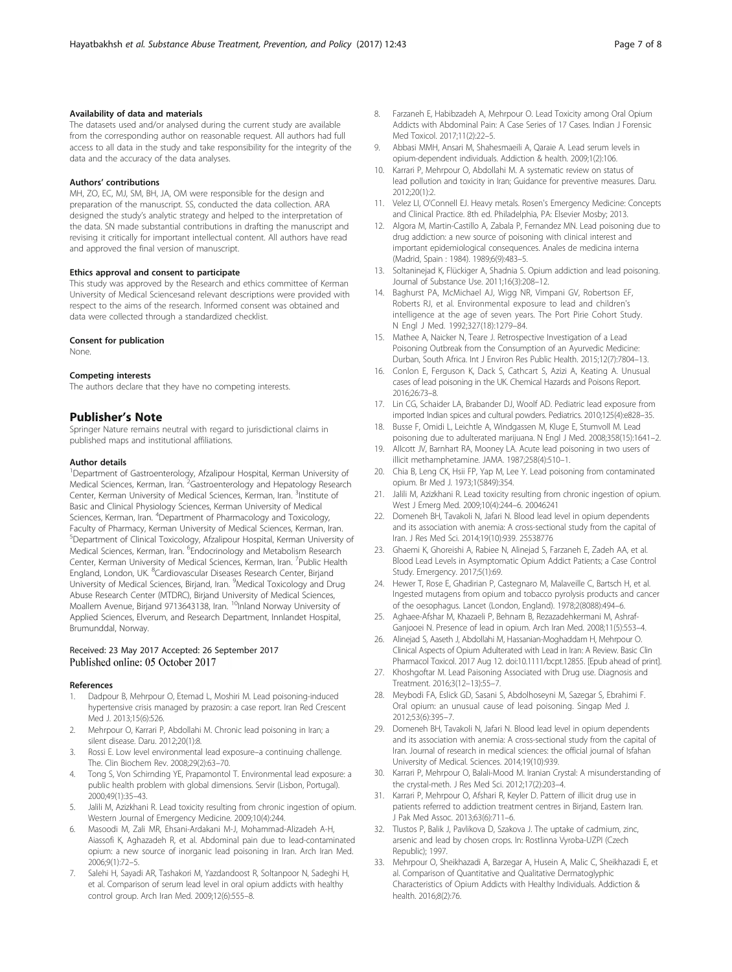#### <span id="page-6-0"></span>Availability of data and materials

The datasets used and/or analysed during the current study are available from the corresponding author on reasonable request. All authors had full access to all data in the study and take responsibility for the integrity of the data and the accuracy of the data analyses.

#### Authors' contributions

MH, ZO, EC, MJ, SM, BH, JA, OM were responsible for the design and preparation of the manuscript. SS, conducted the data collection. ARA designed the study's analytic strategy and helped to the interpretation of the data. SN made substantial contributions in drafting the manuscript and revising it critically for important intellectual content. All authors have read and approved the final version of manuscript.

#### Ethics approval and consent to participate

This study was approved by the Research and ethics committee of Kerman University of Medical Sciencesand relevant descriptions were provided with respect to the aims of the research. Informed consent was obtained and data were collected through a standardized checklist.

#### Consent for publication

None.

#### Competing interests

The authors declare that they have no competing interests.

#### Publisher's Note

Springer Nature remains neutral with regard to jurisdictional claims in published maps and institutional affiliations.

#### Author details

<sup>1</sup>Department of Gastroenterology, Afzalipour Hospital, Kerman University of Medical Sciences, Kerman, Iran. <sup>2</sup>Gastroenterology and Hepatology Research Center, Kerman University of Medical Sciences, Kerman, Iran. <sup>3</sup>Institute of Basic and Clinical Physiology Sciences, Kerman University of Medical Sciences, Kerman, Iran. <sup>4</sup>Department of Pharmacology and Toxicology, Faculty of Pharmacy, Kerman University of Medical Sciences, Kerman, Iran. 5 Department of Clinical Toxicology, Afzalipour Hospital, Kerman University of Medical Sciences, Kerman, Iran. <sup>6</sup>Endocrinology and Metabolism Research Center, Kerman University of Medical Sciences, Kerman, Iran. <sup>7</sup>Public Health England, London, UK. <sup>8</sup>Cardiovascular Diseases Research Center, Birjand University of Medical Sciences, Birjand, Iran. <sup>9</sup>Medical Toxicology and Drug Abuse Research Center (MTDRC), Birjand University of Medical Sciences, Moallem Avenue, Birjand 9713643138, Iran. <sup>10</sup>Inland Norway University of Applied Sciences, Elverum, and Research Department, Innlandet Hospital, Brumunddal, Norway.

#### Received: 23 May 2017 Accepted: 26 September 2017 Published online: 05 October 2017

#### References

- Dadpour B, Mehrpour O, Etemad L, Moshiri M. Lead poisoning-induced hypertensive crisis managed by prazosin: a case report. Iran Red Crescent Med J. 2013;15(6):526.
- 2. Mehrpour O, Karrari P, Abdollahi M. Chronic lead poisoning in Iran; a silent disease. Daru. 2012;20(1):8.
- 3. Rossi E. Low level environmental lead exposure–a continuing challenge. The. Clin Biochem Rev. 2008;29(2):63–70.
- 4. Tong S, Von Schirnding YE, Prapamontol T. Environmental lead exposure: a public health problem with global dimensions. Servir (Lisbon, Portugal). 2000;49(1):35–43.
- 5. Jalili M, Azizkhani R. Lead toxicity resulting from chronic ingestion of opium. Western Journal of Emergency Medicine. 2009;10(4):244.
- 6. Masoodi M, Zali MR, Ehsani-Ardakani M-J, Mohammad-Alizadeh A-H, Aiassofi K, Aghazadeh R, et al. Abdominal pain due to lead-contaminated opium: a new source of inorganic lead poisoning in Iran. Arch Iran Med. 2006;9(1):72–5.
- 7. Salehi H, Sayadi AR, Tashakori M, Yazdandoost R, Soltanpoor N, Sadeghi H, et al. Comparison of serum lead level in oral opium addicts with healthy control group. Arch Iran Med. 2009;12(6):555–8.
- 8. Farzaneh E, Habibzadeh A, Mehrpour O. Lead Toxicity among Oral Opium Addicts with Abdominal Pain: A Case Series of 17 Cases. Indian J Forensic Med Toxicol. 2017;11(2):22–5.
- 9. Abbasi MMH, Ansari M, Shahesmaeili A, Qaraie A. Lead serum levels in opium-dependent individuals. Addiction & health. 2009;1(2):106.
- 10. Karrari P, Mehrpour O, Abdollahi M. A systematic review on status of lead pollution and toxicity in Iran; Guidance for preventive measures. Daru. 2012;20(1):2.
- 11. Velez LI, O'Connell EJ. Heavy metals. Rosen's Emergency Medicine: Concepts and Clinical Practice. 8th ed. Philadelphia, PA: Elsevier Mosby; 2013.
- 12. Algora M, Martin-Castillo A, Zabala P, Fernandez MN. Lead poisoning due to drug addiction: a new source of poisoning with clinical interest and important epidemiological consequences. Anales de medicina interna (Madrid, Spain : 1984). 1989;6(9):483–5.
- 13. Soltaninejad K, Flückiger A, Shadnia S. Opium addiction and lead poisoning. Journal of Substance Use. 2011;16(3):208–12.
- 14. Baghurst PA, McMichael AJ, Wigg NR, Vimpani GV, Robertson EF, Roberts RJ, et al. Environmental exposure to lead and children's intelligence at the age of seven years. The Port Pirie Cohort Study. N Engl J Med. 1992;327(18):1279–84.
- 15. Mathee A, Naicker N, Teare J. Retrospective Investigation of a Lead Poisoning Outbreak from the Consumption of an Ayurvedic Medicine: Durban, South Africa. Int J Environ Res Public Health. 2015;12(7):7804–13.
- 16. Conlon E, Ferguson K, Dack S, Cathcart S, Azizi A, Keating A. Unusual cases of lead poisoning in the UK. Chemical Hazards and Poisons Report. 2016;26:73–8.
- 17. Lin CG, Schaider LA, Brabander DJ, Woolf AD. Pediatric lead exposure from imported Indian spices and cultural powders. Pediatrics. 2010;125(4):e828–35.
- 18. Busse F, Omidi L, Leichtle A, Windgassen M, Kluge E, Stumvoll M. Lead poisoning due to adulterated marijuana. N Engl J Med. 2008;358(15):1641–2.
- 19. Allcott JV, Barnhart RA, Mooney LA. Acute lead poisoning in two users of illicit methamphetamine. JAMA. 1987;258(4):510–1.
- 20. Chia B, Leng CK, Hsii FP, Yap M, Lee Y. Lead poisoning from contaminated opium. Br Med J. 1973;1(5849):354.
- 21. Jalili M, Azizkhani R. Lead toxicity resulting from chronic ingestion of opium. West J Emerg Med. 2009;10(4):244–6. 20046241
- 22. Domeneh BH, Tavakoli N, Jafari N. Blood lead level in opium dependents and its association with anemia: A cross-sectional study from the capital of Iran. J Res Med Sci. 2014;19(10):939. 25538776
- 23. Ghaemi K, Ghoreishi A, Rabiee N, Alinejad S, Farzaneh E, Zadeh AA, et al. Blood Lead Levels in Asymptomatic Opium Addict Patients; a Case Control Study. Emergency. 2017;5(1):69.
- 24. Hewer T, Rose E, Ghadirian P, Castegnaro M, Malaveille C, Bartsch H, et al. Ingested mutagens from opium and tobacco pyrolysis products and cancer of the oesophagus. Lancet (London, England). 1978;2(8088):494–6.
- 25. Aghaee-Afshar M, Khazaeli P, Behnam B, Rezazadehkermani M, Ashraf-Ganjooei N. Presence of lead in opium. Arch Iran Med. 2008;11(5):553–4.
- 26. Alinejad S, Aaseth J, Abdollahi M, Hassanian-Moghaddam H, Mehrpour O. Clinical Aspects of Opium Adulterated with Lead in Iran: A Review. Basic Clin Pharmacol Toxicol. 2017 Aug 12. doi[:10.1111/bcpt.12855](http://dx.doi.org/10.1111/bcpt.12855). [Epub ahead of print].
- 27. Khoshgoftar M. Lead Paisoning Associated with Drug use. Diagnosis and Treatment. 2016;3(12–13):55–7.
- 28. Meybodi FA, Eslick GD, Sasani S, Abdolhoseyni M, Sazegar S, Ebrahimi F. Oral opium: an unusual cause of lead poisoning. Singap Med J. 2012;53(6):395–7.
- 29. Domeneh BH, Tavakoli N, Jafari N. Blood lead level in opium dependents and its association with anemia: A cross-sectional study from the capital of Iran. Journal of research in medical sciences: the official journal of Isfahan University of Medical. Sciences. 2014;19(10):939.
- 30. Karrari P, Mehrpour O, Balali-Mood M. Iranian Crystal: A misunderstanding of the crystal-meth. J Res Med Sci. 2012;17(2):203–4.
- 31. Karrari P, Mehrpour O, Afshari R, Keyler D. Pattern of illicit drug use in patients referred to addiction treatment centres in Birjand, Eastern Iran. J Pak Med Assoc. 2013;63(6):711–6.
- 32. Tlustos P, Balik J, Pavlikova D, Szakova J. The uptake of cadmium, zinc, arsenic and lead by chosen crops. In: Rostlinna Vyroba-UZPI (Czech Republic); 1997.
- 33. Mehrpour O, Sheikhazadi A, Barzegar A, Husein A, Malic C, Sheikhazadi E, et al. Comparison of Quantitative and Qualitative Dermatoglyphic Characteristics of Opium Addicts with Healthy Individuals. Addiction & health. 2016;8(2):76.